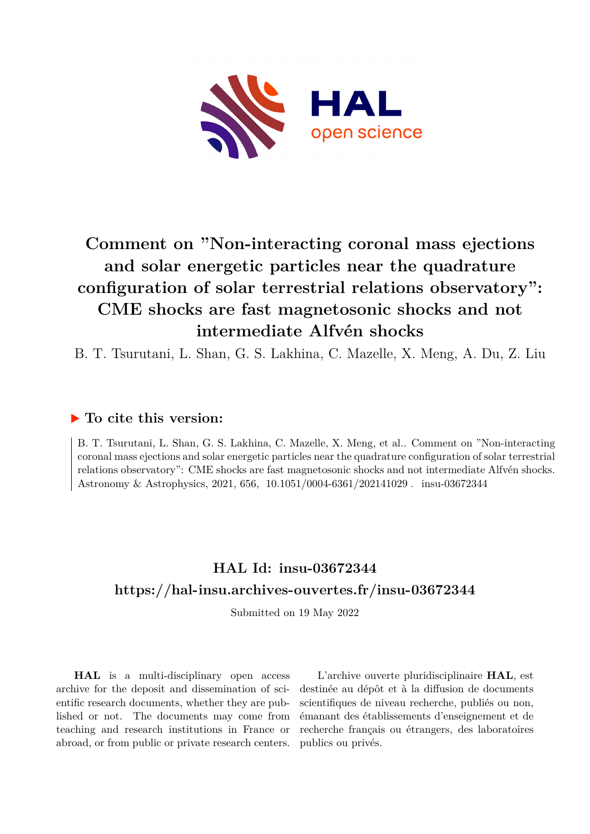

# **Comment on "Non-interacting coronal mass ejections and solar energetic particles near the quadrature configuration of solar terrestrial relations observatory": CME shocks are fast magnetosonic shocks and not intermediate Alfvén shocks**

B. T. Tsurutani, L. Shan, G. S. Lakhina, C. Mazelle, X. Meng, A. Du, Z. Liu

### **To cite this version:**

B. T. Tsurutani, L. Shan, G. S. Lakhina, C. Mazelle, X. Meng, et al.. Comment on "Non-interacting coronal mass ejections and solar energetic particles near the quadrature configuration of solar terrestrial relations observatory": CME shocks are fast magnetosonic shocks and not intermediate Alfvén shocks. Astronomy & Astrophysics, 2021, 656, 10.1051/0004-6361/202141029 . insu-03672344

### **HAL Id: insu-03672344 <https://hal-insu.archives-ouvertes.fr/insu-03672344>**

Submitted on 19 May 2022

**HAL** is a multi-disciplinary open access archive for the deposit and dissemination of scientific research documents, whether they are published or not. The documents may come from teaching and research institutions in France or abroad, or from public or private research centers.

L'archive ouverte pluridisciplinaire **HAL**, est destinée au dépôt et à la diffusion de documents scientifiques de niveau recherche, publiés ou non, émanant des établissements d'enseignement et de recherche français ou étrangers, des laboratoires publics ou privés.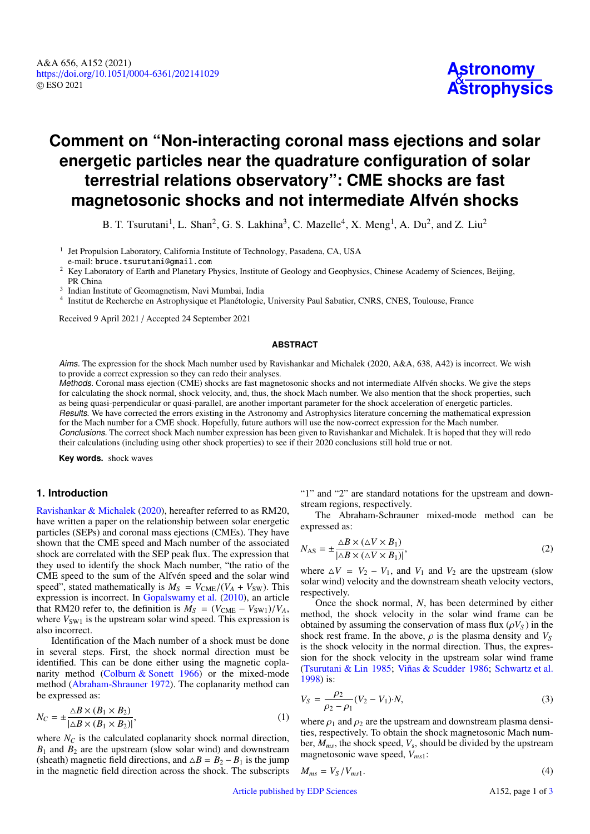## **Comment on "Non-interacting coronal mass ejections and solar energetic particles near the quadrature configuration of solar terrestrial relations observatory": CME shocks are fast magnetosonic shocks and not intermediate Alfvén shocks**

B. T. Tsurutani<sup>1</sup>, L. Shan<sup>2</sup>, G. S. Lakhina<sup>3</sup>, C. Mazelle<sup>4</sup>, X. Meng<sup>1</sup>, A. Du<sup>2</sup>, and Z. Liu<sup>2</sup>

<sup>1</sup> Jet Propulsion Laboratory, California Institute of Technology, Pasadena, CA, USA e-mail: [bruce.tsurutani@gmail.com](mailto:bruce.tsurutani@gmail.com)

<sup>2</sup> Key Laboratory of Earth and Planetary Physics, Institute of Geology and Geophysics, Chinese Academy of Sciences, Beijing, PR China

3 Indian Institute of Geomagnetism, Navi Mumbai, India

4 Institut de Recherche en Astrophysique et Planétologie, University Paul Sabatier, CNRS, CNES, Toulouse, France

Received 9 April 2021 / Accepted 24 September 2021

#### **ABSTRACT**

Aims. The expression for the shock Mach number used by Ravishankar and Michalek (2020, A&A, 638, A42) is incorrect. We wish to provide a correct expression so they can redo their analyses.

Methods. Coronal mass ejection (CME) shocks are fast magnetosonic shocks and not intermediate Alfvén shocks. We give the steps for calculating the shock normal, shock velocity, and, thus, the shock Mach number. We also mention that the shock properties, such as being quasi-perpendicular or quasi-parallel, are another important parameter for the shock acceleration of energetic particles.

Results. We have corrected the errors existing in the Astronomy and Astrophysics literature concerning the mathematical expression for the Mach number for a CME shock. Hopefully, future authors will use the now-correct expression for the Mach number. Conclusions. The correct shock Mach number expression has been given to Ravishankar and Michalek. It is hoped that they will redo their calculations (including using other shock properties) to see if their 2020 conclusions still hold true or not.

**Key words.** shock waves

#### **1. Introduction**

Ravishankar & Michalek (2020), hereafter referred to as RM20, have written a paper on the relationship between solar energetic particles (SEPs) and coronal mass ejections (CMEs). They have shown that the CME speed and Mach number of the associated shock are correlated with the SEP peak flux. The expression that they used to identify the shock Mach number, "the ratio of the CME speed to the sum of the Alfvén speed and the solar wind speed", stated mathematically is  $M_S = V_{CME}/(V_A + V_{SW})$ . This expression is incorrect. In Gopalswamy et al. (2010), an article that RM20 refer to, the definition is  $M_S = (V_{CME} - V_{SW1})/V_A$ , where  $V_{SW1}$  is the upstream solar wind speed. This expression is also incorrect.

Identification of the Mach number of a shock must be done in several steps. First, the shock normal direction must be identified. This can be done either using the magnetic coplanarity method (Colburn & Sonett 1966) or the mixed-mode method (Abraham-Shrauner 1972). The coplanarity method can be expressed as:

$$
N_C = \pm \frac{\Delta B \times (B_1 \times B_2)}{|\Delta B \times (B_1 \times B_2)|},\tag{1}
$$

where  $N_C$  is the calculated coplanarity shock normal direction,  $B_1$  and  $B_2$  are the upstream (slow solar wind) and downstream (sheath) magnetic field directions, and  $\triangle B = B_2 - B_1$  is the jump in the magnetic field direction across the shock. The subscripts

"1" and "2" are standard notations for the upstream and downstream regions, respectively.

The Abraham-Schrauner mixed-mode method can be expressed as:

$$
N_{AS} = \pm \frac{\Delta B \times (\Delta V \times B_1)}{|\Delta B \times (\Delta V \times B_1)|},\tag{2}
$$

where  $\Delta V = V_2 - V_1$ , and  $V_1$  and  $V_2$  are the upstream (slow solar wind) velocity and the downstream sheath velocity vectors, respectively.

Once the shock normal, *N*, has been determined by either method, the shock velocity in the solar wind frame can be obtained by assuming the conservation of mass flux  $(\rho V_S)$  in the shock rest frame. In the above,  $\rho$  is the plasma density and  $V_s$ is the shock velocity in the normal direction. Thus, the expression for the shock velocity in the upstream solar wind frame (Tsurutani & Lin 1985; Viñas & Scudder 1986; Schwartz et al. 1998) is:

$$
V_S = \frac{\rho_2}{\rho_2 - \rho_1} (V_2 - V_1) \cdot N,\tag{3}
$$

where  $\rho_1$  and  $\rho_2$  are the upstream and downstream plasma densities, respectively. To obtain the shock magnetosonic Mach number, *Mms*, the shock speed, *V*<sup>s</sup> , should be divided by the upstream magnetosonic wave speed, *Vms*1:

$$
M_{ms} = V_S / V_{ms1}.\tag{4}
$$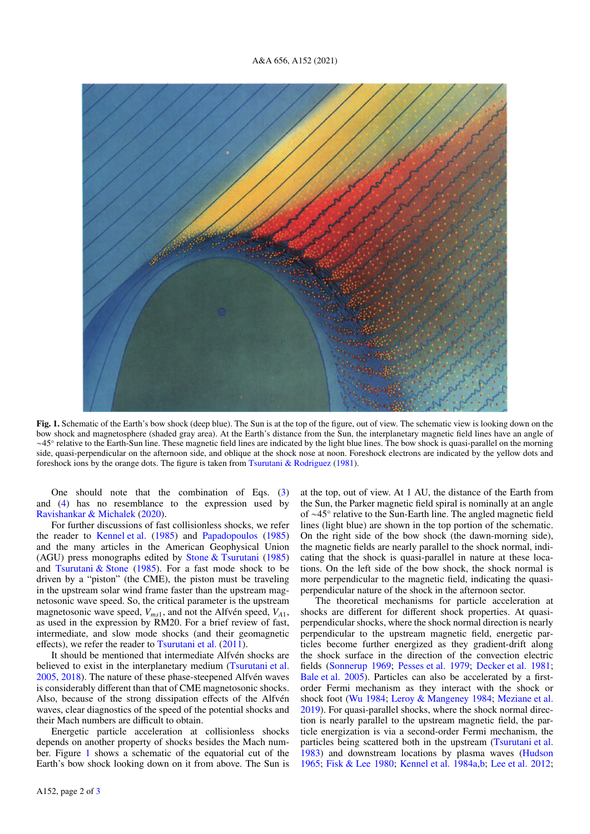

Fig. 1. Schematic of the Earth's bow shock (deep blue). The Sun is at the top of the figure, out of view. The schematic view is looking down on the bow shock and magnetosphere (shaded gray area). At the Earth's distance from the Sun, the interplanetary magnetic field lines have an angle of ∼45◦ relative to the Earth-Sun line. These magnetic field lines are indicated by the light blue lines. The bow shock is quasi-parallel on the morning side, quasi-perpendicular on the afternoon side, and oblique at the shock nose at noon. Foreshock electrons are indicated by the yellow dots and foreshock ions by the orange dots. The figure is taken from Tsurutani & Rodriguez (1981).

One should note that the combination of Eqs. (3) and (4) has no resemblance to the expression used by Ravishankar & Michalek (2020).

For further discussions of fast collisionless shocks, we refer the reader to Kennel et al. (1985) and Papadopoulos (1985) and the many articles in the American Geophysical Union (AGU) press monographs edited by Stone & Tsurutani (1985) and Tsurutani  $&$  Stone (1985). For a fast mode shock to be driven by a "piston" (the CME), the piston must be traveling in the upstream solar wind frame faster than the upstream magnetosonic wave speed. So, the critical parameter is the upstream magnetosonic wave speed,  $V_{ms1}$ , and not the Alfvén speed,  $V_{A1}$ , as used in the expression by RM20. For a brief review of fast, intermediate, and slow mode shocks (and their geomagnetic effects), we refer the reader to Tsurutani et al. (2011).

It should be mentioned that intermediate Alfvén shocks are believed to exist in the interplanetary medium (Tsurutani et al. 2005, 2018). The nature of these phase-steepened Alfvén waves is considerably different than that of CME magnetosonic shocks. Also, because of the strong dissipation effects of the Alfvén waves, clear diagnostics of the speed of the potential shocks and their Mach numbers are difficult to obtain.

Energetic particle acceleration at collisionless shocks depends on another property of shocks besides the Mach number. Figure 1 shows a schematic of the equatorial cut of the Earth's bow shock looking down on it from above. The Sun is

A152, page 2 of 3

at the top, out of view. At 1 AU, the distance of the Earth from the Sun, the Parker magnetic field spiral is nominally at an angle of ∼45◦ relative to the Sun-Earth line. The angled magnetic field lines (light blue) are shown in the top portion of the schematic. On the right side of the bow shock (the dawn-morning side), the magnetic fields are nearly parallel to the shock normal, indicating that the shock is quasi-parallel in nature at these locations. On the left side of the bow shock, the shock normal is more perpendicular to the magnetic field, indicating the quasiperpendicular nature of the shock in the afternoon sector.

The theoretical mechanisms for particle acceleration at shocks are different for different shock properties. At quasiperpendicular shocks, where the shock normal direction is nearly perpendicular to the upstream magnetic field, energetic particles become further energized as they gradient-drift along the shock surface in the direction of the convection electric fields (Sonnerup 1969; Pesses et al. 1979; Decker et al. 1981; Bale et al. 2005). Particles can also be accelerated by a firstorder Fermi mechanism as they interact with the shock or shock foot (Wu 1984; Leroy & Mangeney 1984; Meziane et al. 2019). For quasi-parallel shocks, where the shock normal direction is nearly parallel to the upstream magnetic field, the particle energization is via a second-order Fermi mechanism, the particles being scattered both in the upstream (Tsurutani et al. 1983) and downstream locations by plasma waves (Hudson 1965; Fisk & Lee 1980; Kennel et al. 1984a,b; Lee et al. 2012;